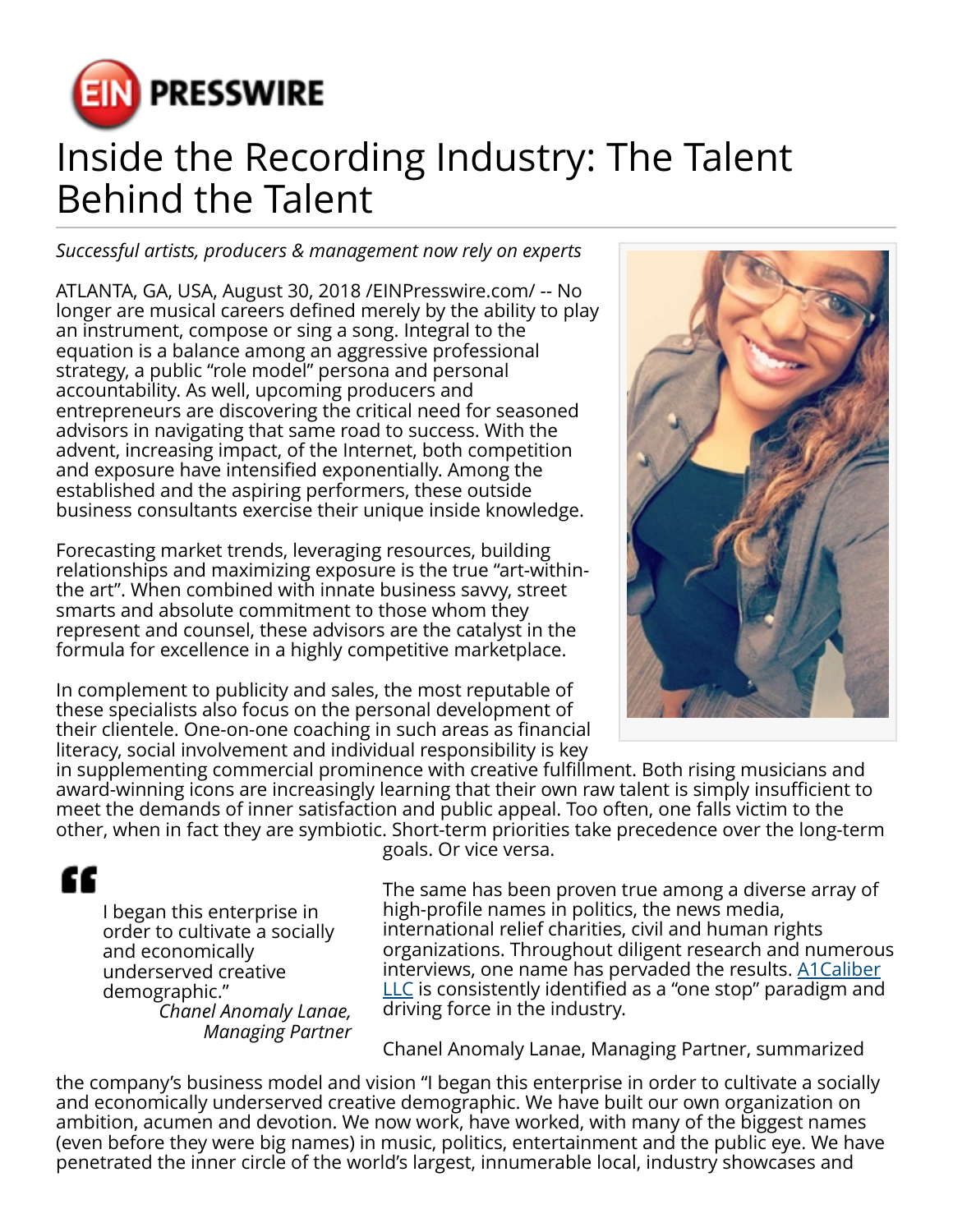

## Inside the Recording Industry: The Talent Behind the Talent

*Successful artists, producers & management now rely on experts*

ATLANTA, GA, USA, August 30, 2018 /[EINPresswire.com/](http://www.einpresswire.com) -- No longer are musical careers defined merely by the ability to play an instrument, compose or sing a song. Integral to the equation is a balance among an aggressive professional strategy, a public "role model" persona and personal accountability. As well, upcoming producers and entrepreneurs are discovering the critical need for seasoned advisors in navigating that same road to success. With the advent, increasing impact, of the Internet, both competition and exposure have intensified exponentially. Among the established and the aspiring performers, these outside business consultants exercise their unique inside knowledge.

Forecasting market trends, leveraging resources, building relationships and maximizing exposure is the true "art-withinthe art". When combined with innate business savvy, street smarts and absolute commitment to those whom they represent and counsel, these advisors are the catalyst in the formula for excellence in a highly competitive marketplace.

In complement to publicity and sales, the most reputable of these specialists also focus on the personal development of their clientele. One-on-one coaching in such areas as financial literacy, social involvement and individual responsibility is key



in supplementing commercial prominence with creative fulfillment. Both rising musicians and award-winning icons are increasingly learning that their own raw talent is simply insufficient to meet the demands of inner satisfaction and public appeal. Too often, one falls victim to the other, when in fact they are symbiotic. Short-term priorities take precedence over the long-term

## ££

I began this enterprise in order to cultivate a socially and economically underserved creative demographic." *Chanel Anomaly Lanae,*

*Managing Partner*

goals. Or vice versa.

The same has been proven true among a diverse array of high-profile names in politics, the news media, international relief charities, civil and human rights organizations. Throughout diligent research and numerous interviews, one name has pervaded the results. [A1Caliber](https://www.a1caliber.com/) [LLC](https://www.a1caliber.com/) is consistently identified as a "one stop" paradigm and driving force in the industry.

Chanel Anomaly Lanae, Managing Partner, summarized

the company's business model and vision "I began this enterprise in order to cultivate a socially and economically underserved creative demographic. We have built our own organization on ambition, acumen and devotion. We now work, have worked, with many of the biggest names (even before they were big names) in music, politics, entertainment and the public eye. We have penetrated the inner circle of the world's largest, innumerable local, industry showcases and